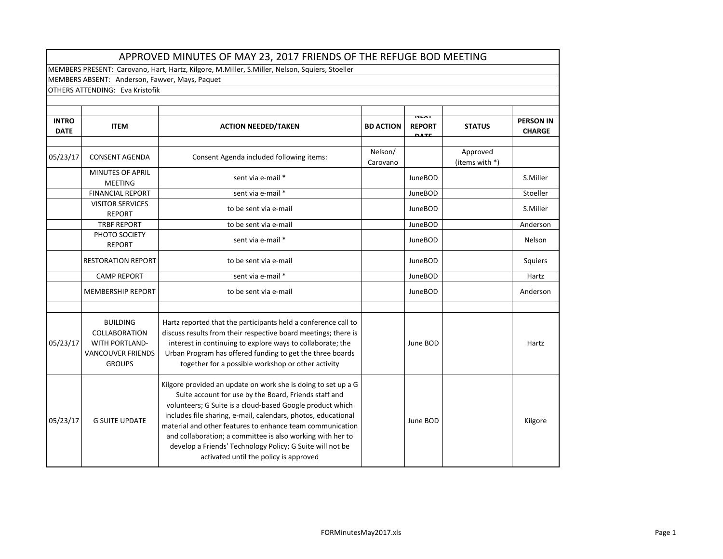|                             | APPROVED MINUTES OF MAY 23, 2017 FRIENDS OF THE REFUGE BOD MEETING                                            |                                                                                                                                                                                                                                                                                                                                                                                                                                                                                        |                     |                                              |                            |                                   |  |  |
|-----------------------------|---------------------------------------------------------------------------------------------------------------|----------------------------------------------------------------------------------------------------------------------------------------------------------------------------------------------------------------------------------------------------------------------------------------------------------------------------------------------------------------------------------------------------------------------------------------------------------------------------------------|---------------------|----------------------------------------------|----------------------------|-----------------------------------|--|--|
|                             |                                                                                                               | MEMBERS PRESENT: Carovano, Hart, Hartz, Kilgore, M.Miller, S.Miller, Nelson, Squiers, Stoeller                                                                                                                                                                                                                                                                                                                                                                                         |                     |                                              |                            |                                   |  |  |
|                             | MEMBERS ABSENT: Anderson, Fawver, Mays, Paquet                                                                |                                                                                                                                                                                                                                                                                                                                                                                                                                                                                        |                     |                                              |                            |                                   |  |  |
|                             | <b>OTHERS ATTENDING: Eva Kristofik</b>                                                                        |                                                                                                                                                                                                                                                                                                                                                                                                                                                                                        |                     |                                              |                            |                                   |  |  |
|                             |                                                                                                               |                                                                                                                                                                                                                                                                                                                                                                                                                                                                                        |                     |                                              |                            |                                   |  |  |
| <b>INTRO</b><br><b>DATE</b> | <b>ITEM</b>                                                                                                   | <b>ACTION NEEDED/TAKEN</b>                                                                                                                                                                                                                                                                                                                                                                                                                                                             | <b>BD ACTION</b>    | <b>TVEAT</b><br><b>REPORT</b><br><b>DATE</b> | <b>STATUS</b>              | <b>PERSON IN</b><br><b>CHARGE</b> |  |  |
| 05/23/17                    | <b>CONSENT AGENDA</b>                                                                                         | Consent Agenda included following items:                                                                                                                                                                                                                                                                                                                                                                                                                                               | Nelson/<br>Carovano |                                              | Approved<br>(items with *) |                                   |  |  |
|                             | <b>MINUTES OF APRIL</b><br><b>MEETING</b>                                                                     | sent via e-mail *                                                                                                                                                                                                                                                                                                                                                                                                                                                                      |                     | <b>JuneBOD</b>                               |                            | S.Miller                          |  |  |
|                             | <b>FINANCIAL REPORT</b>                                                                                       | sent via e-mail *                                                                                                                                                                                                                                                                                                                                                                                                                                                                      |                     | <b>JuneBOD</b>                               |                            | Stoeller                          |  |  |
|                             | <b>VISITOR SERVICES</b><br><b>REPORT</b>                                                                      | to be sent via e-mail                                                                                                                                                                                                                                                                                                                                                                                                                                                                  |                     | <b>JuneBOD</b>                               |                            | S.Miller                          |  |  |
|                             | <b>TRBF REPORT</b>                                                                                            | to be sent via e-mail                                                                                                                                                                                                                                                                                                                                                                                                                                                                  |                     | <b>JuneBOD</b>                               |                            | Anderson                          |  |  |
|                             | PHOTO SOCIETY<br><b>REPORT</b>                                                                                | sent via e-mail *                                                                                                                                                                                                                                                                                                                                                                                                                                                                      |                     | <b>JuneBOD</b>                               |                            | Nelson                            |  |  |
|                             | <b>RESTORATION REPORT</b>                                                                                     | to be sent via e-mail                                                                                                                                                                                                                                                                                                                                                                                                                                                                  |                     | <b>JuneBOD</b>                               |                            | Squiers                           |  |  |
|                             | <b>CAMP REPORT</b>                                                                                            | sent via e-mail *                                                                                                                                                                                                                                                                                                                                                                                                                                                                      |                     | <b>JuneBOD</b>                               |                            | Hartz                             |  |  |
|                             | <b>MEMBERSHIP REPORT</b>                                                                                      | to be sent via e-mail                                                                                                                                                                                                                                                                                                                                                                                                                                                                  |                     | <b>JuneBOD</b>                               |                            | Anderson                          |  |  |
|                             |                                                                                                               |                                                                                                                                                                                                                                                                                                                                                                                                                                                                                        |                     |                                              |                            |                                   |  |  |
| 05/23/17                    | <b>BUILDING</b><br><b>COLLABORATION</b><br><b>WITH PORTLAND-</b><br><b>VANCOUVER FRIENDS</b><br><b>GROUPS</b> | Hartz reported that the participants held a conference call to<br>discuss results from their respective board meetings; there is<br>interest in continuing to explore ways to collaborate; the<br>Urban Program has offered funding to get the three boards<br>together for a possible workshop or other activity                                                                                                                                                                      |                     | June BOD                                     |                            | Hartz                             |  |  |
| 05/23/17                    | <b>G SUITE UPDATE</b>                                                                                         | Kilgore provided an update on work she is doing to set up a G<br>Suite account for use by the Board, Friends staff and<br>volunteers; G Suite is a cloud-based Google product which<br>includes file sharing, e-mail, calendars, photos, educational<br>material and other features to enhance team communication<br>and collaboration; a committee is also working with her to<br>develop a Friends' Technology Policy; G Suite will not be<br>activated until the policy is approved |                     | June BOD                                     |                            | Kilgore                           |  |  |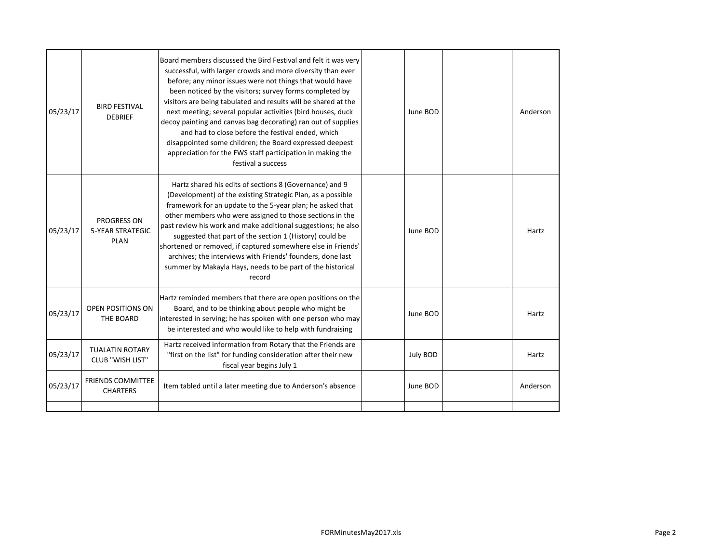| 05/23/17 | <b>BIRD FESTIVAL</b><br><b>DEBRIEF</b>                       | Board members discussed the Bird Festival and felt it was very<br>successful, with larger crowds and more diversity than ever<br>before; any minor issues were not things that would have<br>been noticed by the visitors; survey forms completed by<br>visitors are being tabulated and results will be shared at the<br>next meeting; several popular activities (bird houses, duck<br>decoy painting and canvas bag decorating) ran out of supplies<br>and had to close before the festival ended, which<br>disappointed some children; the Board expressed deepest<br>appreciation for the FWS staff participation in making the<br>festival a success | June BOD | Anderson |
|----------|--------------------------------------------------------------|------------------------------------------------------------------------------------------------------------------------------------------------------------------------------------------------------------------------------------------------------------------------------------------------------------------------------------------------------------------------------------------------------------------------------------------------------------------------------------------------------------------------------------------------------------------------------------------------------------------------------------------------------------|----------|----------|
| 05/23/17 | <b>PROGRESS ON</b><br><b>5-YEAR STRATEGIC</b><br><b>PLAN</b> | Hartz shared his edits of sections 8 (Governance) and 9<br>(Development) of the existing Strategic Plan, as a possible<br>framework for an update to the 5-year plan; he asked that<br>other members who were assigned to those sections in the<br>past review his work and make additional suggestions; he also<br>suggested that part of the section 1 (History) could be<br>shortened or removed, if captured somewhere else in Friends'<br>archives; the interviews with Friends' founders, done last<br>summer by Makayla Hays, needs to be part of the historical<br>record                                                                          | June BOD | Hartz    |
| 05/23/17 | <b>OPEN POSITIONS ON</b><br>THE BOARD                        | Hartz reminded members that there are open positions on the<br>Board, and to be thinking about people who might be<br>interested in serving; he has spoken with one person who may<br>be interested and who would like to help with fundraising                                                                                                                                                                                                                                                                                                                                                                                                            | June BOD | Hartz    |
| 05/23/17 | <b>TUALATIN ROTARY</b><br>CLUB "WISH LIST"                   | Hartz received information from Rotary that the Friends are<br>"first on the list" for funding consideration after their new<br>fiscal year begins July 1                                                                                                                                                                                                                                                                                                                                                                                                                                                                                                  | July BOD | Hartz    |
| 05/23/17 | <b>FRIENDS COMMITTEE</b><br><b>CHARTERS</b>                  | Item tabled until a later meeting due to Anderson's absence                                                                                                                                                                                                                                                                                                                                                                                                                                                                                                                                                                                                | June BOD | Anderson |
|          |                                                              |                                                                                                                                                                                                                                                                                                                                                                                                                                                                                                                                                                                                                                                            |          |          |